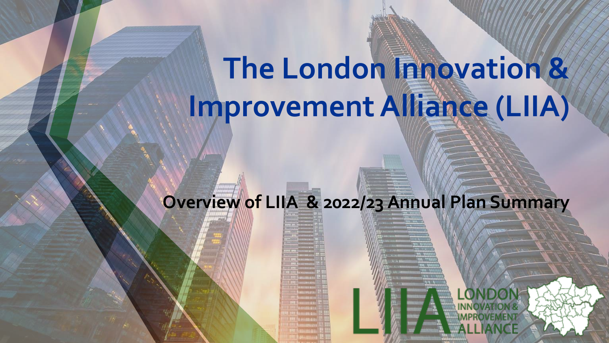# **The London Innovation & Improvement Alliance (LIIA)**

**Overview of LIIA & 2022/23 Annual Plan Summary**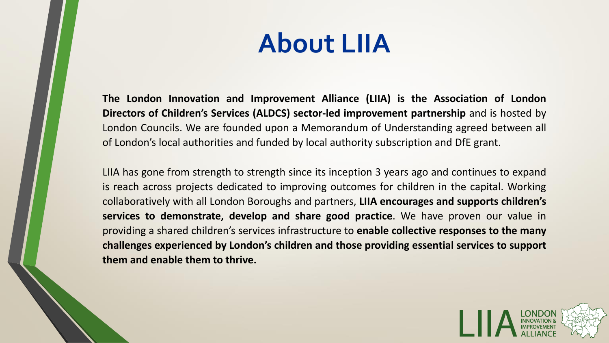## **About LIIA**

**The London Innovation and Improvement Alliance (LIIA) is the Association of London Directors of Children's Services (ALDCS) sector-led improvement partnership** and is hosted by London Councils. We are founded upon a Memorandum of Understanding agreed between all of London's local authorities and funded by local authority subscription and DfE grant.

LIIA has gone from strength to strength since its inception 3 years ago and continues to expand is reach across projects dedicated to improving outcomes for children in the capital. Working collaboratively with all London Boroughs and partners, **LIIA encourages and supports children's services to demonstrate, develop and share good practice**. We have proven our value in providing a shared children's services infrastructure to **enable collective responses to the many challenges experienced by London's children and those providing essential services to support them and enable them to thrive.**

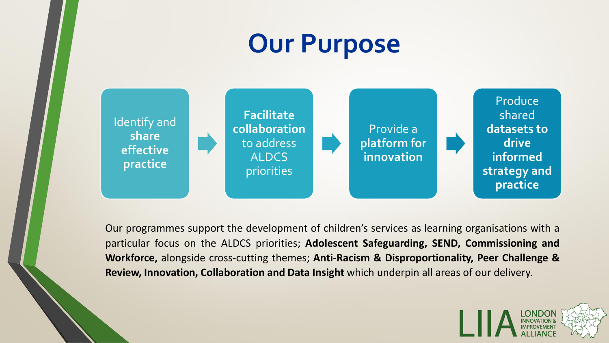## **Our Purpose**



Our programmes support the development of children's services as learning organisations with a particular focus on the ALDCS priorities; **Adolescent Safeguarding, SEND, Commissioning and Workforce,** alongside cross-cutting themes; **Anti-Racism & Disproportionality, Peer Challenge & Review, Innovation, Collaboration and Data Insight** which underpin all areas of our delivery.

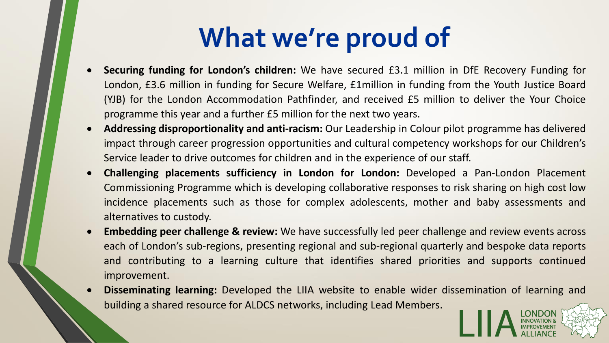## **What we're proud of**

- **Securing funding for London's children:** We have secured £3.1 million in DfE Recovery Funding for London, £3.6 million in funding for Secure Welfare, £1million in funding from the Youth Justice Board (YJB) for the London Accommodation Pathfinder, and received £5 million to deliver the Your Choice programme this year and a further £5 million for the next two years.
- **Addressing disproportionality and anti-racism:** Our Leadership in Colour pilot programme has delivered impact through career progression opportunities and cultural competency workshops for our Children's Service leader to drive outcomes for children and in the experience of our staff.
- **Challenging placements sufficiency in London for London:** Developed a Pan-London Placement Commissioning Programme which is developing collaborative responses to risk sharing on high cost low incidence placements such as those for complex adolescents, mother and baby assessments and alternatives to custody.
- **Embedding peer challenge & review:** We have successfully led peer challenge and review events across each of London's sub-regions, presenting regional and sub-regional quarterly and bespoke data reports and contributing to a learning culture that identifies shared priorities and supports continued improvement.
- **Disseminating learning:** Developed the LIIA website to enable wider dissemination of learning and building a shared resource for ALDCS networks, including Lead Members.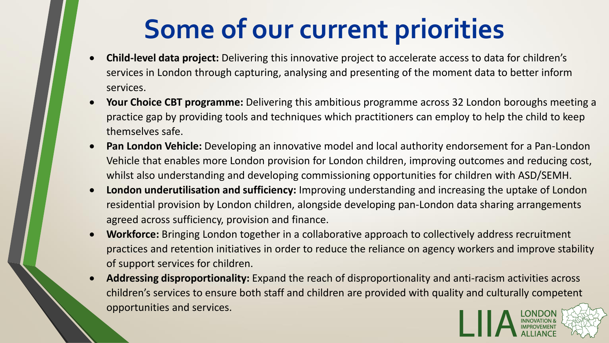## **Some of our current priorities**

- **Child-level data project:** Delivering this innovative project to accelerate access to data for children's services in London through capturing, analysing and presenting of the moment data to better inform services.
- **Your Choice CBT programme:** Delivering this ambitious programme across 32 London boroughs meeting a practice gap by providing tools and techniques which practitioners can employ to help the child to keep themselves safe.
- **Pan London Vehicle:** Developing an innovative model and local authority endorsement for a Pan-London Vehicle that enables more London provision for London children, improving outcomes and reducing cost, whilst also understanding and developing commissioning opportunities for children with ASD/SEMH.
- **London underutilisation and sufficiency:** Improving understanding and increasing the uptake of London residential provision by London children, alongside developing pan-London data sharing arrangements agreed across sufficiency, provision and finance.
- **Workforce:** Bringing London together in a collaborative approach to collectively address recruitment practices and retention initiatives in order to reduce the reliance on agency workers and improve stability of support services for children.
- **Addressing disproportionality:** Expand the reach of disproportionality and anti-racism activities across children's services to ensure both staff and children are provided with quality and culturally competent opportunities and services.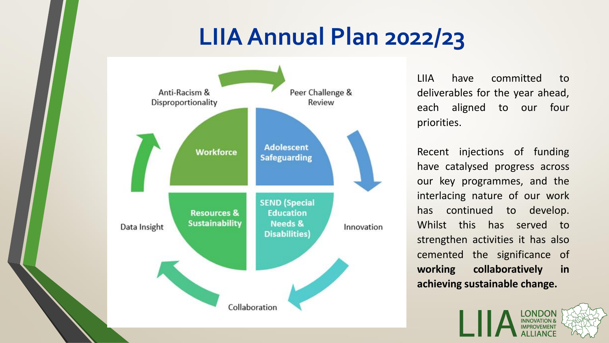### **LIIA Annual Plan 2022/23**



LIIA have committed to deliverables for the year ahead, each aligned to our four priorities.

Recent injections of funding have catalysed progress across our key programmes, and the interlacing nature of our work has continued to develop. Whilst this has served to strengthen activities it has also cemented the significance of **working collaboratively in achieving sustainable change.**

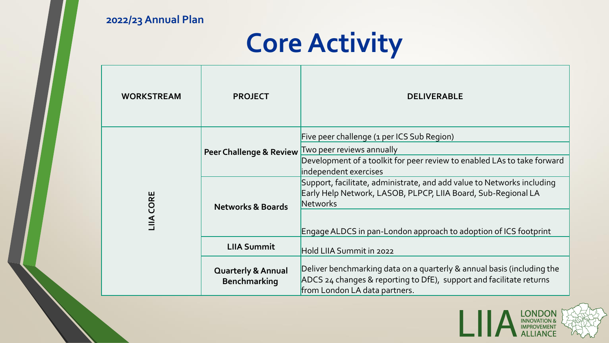## **Core Activity**

| <b>WORKSTREAM</b><br><b>PROJECT</b> |                                                      | <b>DELIVERABLE</b>                                                                                                                                                             |  |  |
|-------------------------------------|------------------------------------------------------|--------------------------------------------------------------------------------------------------------------------------------------------------------------------------------|--|--|
|                                     |                                                      | Five peer challenge (1 per ICS Sub Region)                                                                                                                                     |  |  |
|                                     | <b>Peer Challenge &amp; Review</b>                   | Two peer reviews annually                                                                                                                                                      |  |  |
|                                     |                                                      | Development of a toolkit for peer review to enabled LAs to take forward<br>independent exercises                                                                               |  |  |
|                                     | <b>Networks &amp; Boards</b>                         | Support, facilitate, administrate, and add value to Networks including<br>Early Help Network, LASOB, PLPCP, LIIA Board, Sub-Regional LA<br><b>Networks</b>                     |  |  |
| <b>LIIA CORE</b>                    |                                                      | Engage ALDCS in pan-London approach to adoption of ICS footprint                                                                                                               |  |  |
|                                     | <b>LIIA Summit</b>                                   | Hold LIIA Summit in 2022                                                                                                                                                       |  |  |
|                                     | <b>Quarterly &amp; Annual</b><br><b>Benchmarking</b> | Deliver benchmarking data on a quarterly & annual basis (including the<br>ADCS 24 changes & reporting to DfE), support and facilitate returns<br>from London LA data partners. |  |  |

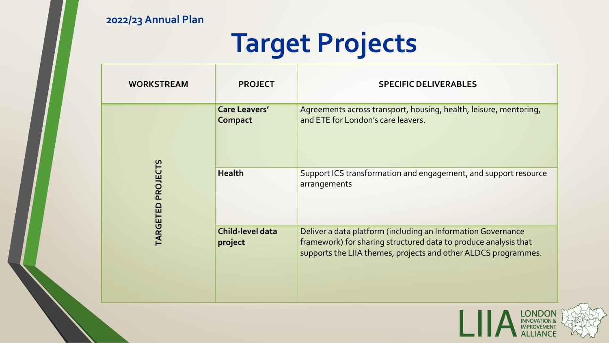## **Target Projects**

| <b>WORKSTREAM</b><br><b>PROJECT</b> |                             | <b>SPECIFIC DELIVERABLES</b>                                                                                                                                                                      |  |  |  |
|-------------------------------------|-----------------------------|---------------------------------------------------------------------------------------------------------------------------------------------------------------------------------------------------|--|--|--|
|                                     | Care Leavers'<br>Compact    | Agreements across transport, housing, health, leisure, mentoring,<br>and ETE for London's care leavers.                                                                                           |  |  |  |
| TARGETED PROJECTS                   | <b>Health</b>               | Support ICS transformation and engagement, and support resource<br>arrangements                                                                                                                   |  |  |  |
|                                     | Child-level data<br>project | Deliver a data platform (including an Information Governance<br>framework) for sharing structured data to produce analysis that<br>supports the LIIA themes, projects and other ALDCS programmes. |  |  |  |

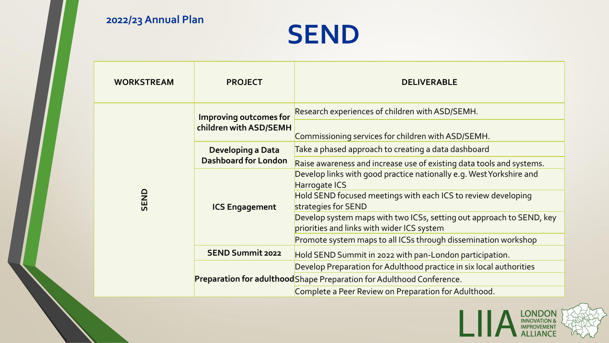#### **SEND**

| <b>WORKSTREAM</b><br><b>PROJECT</b> |                                                  | <b>DELIVERABLE</b>                                                                                                 |  |  |
|-------------------------------------|--------------------------------------------------|--------------------------------------------------------------------------------------------------------------------|--|--|
|                                     | Improving outcomes for<br>children with ASD/SEMH | Research experiences of children with ASD/SEMH.                                                                    |  |  |
|                                     |                                                  | Commissioning services for children with ASD/SEMH.                                                                 |  |  |
|                                     | Developing a Data<br><b>Dashboard for London</b> | Take a phased approach to creating a data dashboard                                                                |  |  |
|                                     |                                                  | Raise awareness and increase use of existing data tools and systems.                                               |  |  |
|                                     | <b>ICS Engagement</b>                            | Develop links with good practice nationally e.g. West Yorkshire and<br>Harrogate ICS                               |  |  |
| SEND                                |                                                  | Hold SEND focused meetings with each ICS to review developing<br>strategies for SEND                               |  |  |
|                                     |                                                  | Develop system maps with two ICSs, setting out approach to SEND, key<br>priorities and links with wider ICS system |  |  |
|                                     |                                                  | Promote system maps to all ICSs through dissemination workshop                                                     |  |  |
|                                     | <b>SEND Summit 2022</b>                          | Hold SEND Summit in 2022 with pan-London participation.                                                            |  |  |
|                                     |                                                  | Develop Preparation for Adulthood practice in six local authorities                                                |  |  |
|                                     |                                                  | Preparation for adulthood Shape Preparation for Adulthood Conference.                                              |  |  |
|                                     |                                                  | Complete a Peer Review on Preparation for Adulthood.                                                               |  |  |

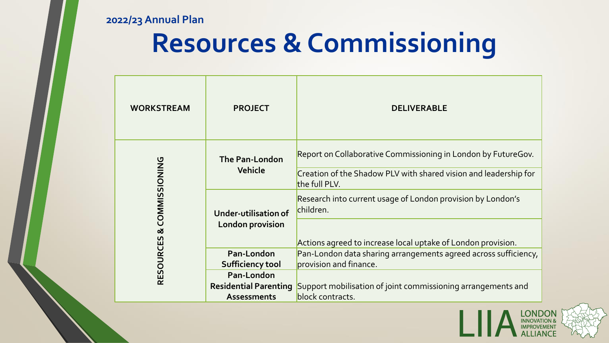## **Resources & Commissioning**

| <b>WORKSTREAM</b> | <b>PROJECT</b>                             | <b>DELIVERABLE</b>                                                                        |  |  |
|-------------------|--------------------------------------------|-------------------------------------------------------------------------------------------|--|--|
|                   | <b>The Pan-London</b><br>Vehicle           | Report on Collaborative Commissioning in London by FutureGov.                             |  |  |
|                   |                                            | Creation of the Shadow PLV with shared vision and leadership for<br>the full PLV.         |  |  |
| & COMMISSIONING   | <b>Under-utilisation of</b>                | Research into current usage of London provision by London's<br>children.                  |  |  |
|                   | London provision                           | Actions agreed to increase local uptake of London provision.                              |  |  |
| <b>RESOURCES</b>  | Pan-London<br>Sufficiency tool             | Pan-London data sharing arrangements agreed across sufficiency,<br>provision and finance. |  |  |
|                   | Pan-London<br><b>Residential Parenting</b> | Support mobilisation of joint commissioning arrangements and                              |  |  |
|                   | <b>Assessments</b>                         | block contracts.                                                                          |  |  |

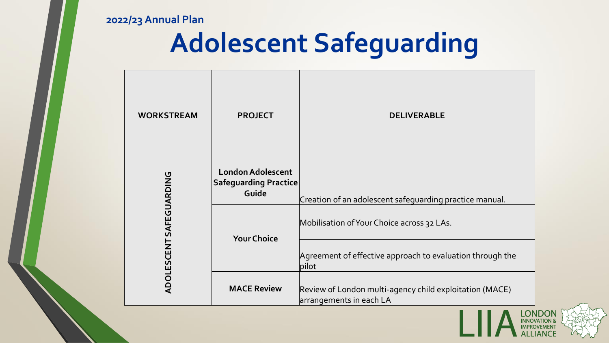## **Adolescent Safeguarding**

| <b>WORKSTREAM</b>       | <b>PROJECT</b>                                             | <b>DELIVERABLE</b>                                                                                               |
|-------------------------|------------------------------------------------------------|------------------------------------------------------------------------------------------------------------------|
|                         | <b>London Adolescent</b><br>Safeguarding Practice<br>Guide | Creation of an adolescent safeguarding practice manual.                                                          |
| ADOLESCENT SAFEGUARDING | <b>Your Choice</b>                                         | Mobilisation of Your Choice across 32 LAs.<br>Agreement of effective approach to evaluation through the<br>pilot |
|                         | <b>MACE Review</b>                                         | Review of London multi-agency child exploitation (MACE)<br>arrangements in each LA                               |

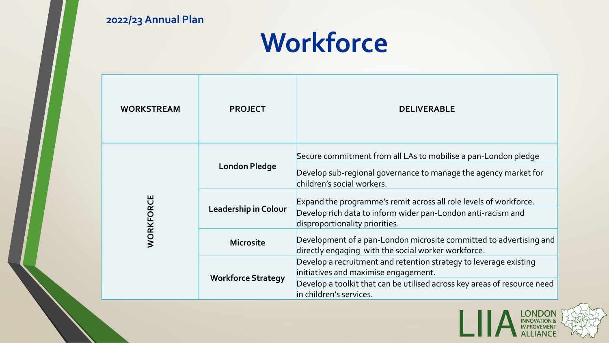## **Workforce**

| <b>WORKSTREAM</b> | <b>PROJECT</b>              | <b>DELIVERABLE</b>                                                                                                                                                                                               |
|-------------------|-----------------------------|------------------------------------------------------------------------------------------------------------------------------------------------------------------------------------------------------------------|
|                   | <b>London Pledge</b>        | Secure commitment from all LAs to mobilise a pan-London pledge<br>Develop sub-regional governance to manage the agency market for                                                                                |
| WORKFORCE         | <b>Leadership in Colour</b> | children's social workers.<br>Expand the programme's remit across all role levels of workforce.<br>Develop rich data to inform wider pan-London anti-racism and<br>disproportionality priorities.                |
|                   | <b>Microsite</b>            | Development of a pan-London microsite committed to advertising and<br>directly engaging with the social worker workforce.                                                                                        |
|                   | <b>Workforce Strategy</b>   | Develop a recruitment and retention strategy to leverage existing<br>initiatives and maximise engagement.<br>Develop a toolkit that can be utilised across key areas of resource need<br>in children's services. |

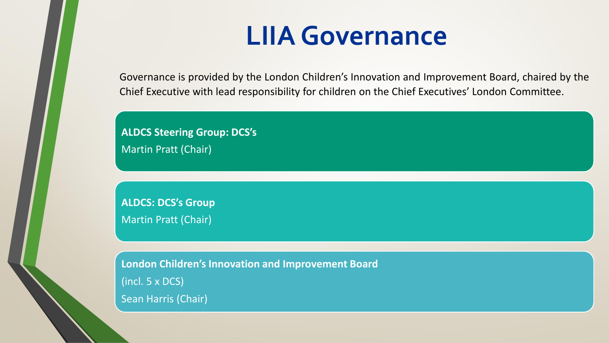### **LIIA Governance**

Governance is provided by the London Children's Innovation and Improvement Board, chaired by the Chief Executive with lead responsibility for children on the Chief Executives' London Committee.

**ALDCS Steering Group: DCS's** Martin Pratt (Chair)

**ALDCS: DCS's Group** Martin Pratt (Chair)

**London Children's Innovation and Improvement Board**  (incl. 5 x DCS) Sean Harris (Chair)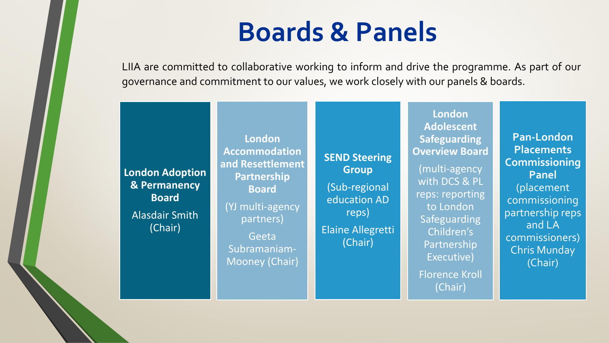## **Boards & Panels**

LIIA are committed to collaborative working to inform and drive the programme. As part of our governance and commitment to our values, we work closely with our panels & boards.

**London Adoption & Permanency Board** Alasdair Smith (Chair)

**London Accommodation and Resettlement Partnership Board**  (YJ multi-agency partners) Geeta Subramaniam-Mooney (Chair)

**SEND Steering Group** (Sub-regional education AD reps)

Elaine Allegretti (Chair)

**London Adolescent Safeguarding Overview Board**

(multi-agency with DCS & PL reps: reporting to London **Safeguarding** Children's Partnership Executive)

Florence Kroll (Chair)

**Pan-London Placements Commissioning Panel**  (placement commissioning partnership reps and LA commissioners) Chris Munday (Chair)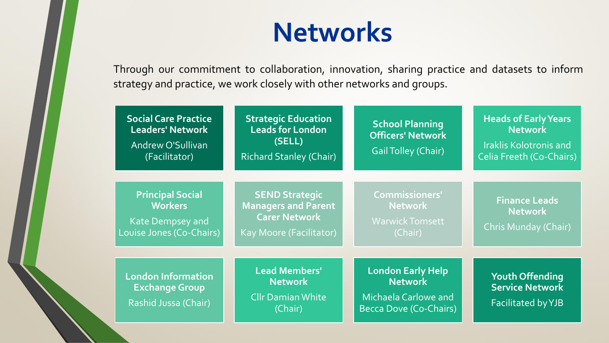### **Networks**

Through our commitment to collaboration, innovation, sharing practice and datasets to inform strategy and practice, we work closely with other networks and groups.

| <b>Social Care Practice</b><br><b>Leaders' Network</b><br><b>Andrew O'Sullivan</b><br>(Facilitator) | <b>Strategic Education</b><br><b>Leads for London</b><br>(SELL)<br><b>Richard Stanley (Chair)</b>      |  | <b>School Planning</b><br><b>Officers' Network</b><br><b>Gail Tolley (Chair)</b>             |  | <b>Heads of Early Years</b><br><b>Network</b><br><b>Iraklis Kolotronis and</b><br><b>Celia Freeth (Co-Chairs)</b> |  |
|-----------------------------------------------------------------------------------------------------|--------------------------------------------------------------------------------------------------------|--|----------------------------------------------------------------------------------------------|--|-------------------------------------------------------------------------------------------------------------------|--|
| <b>Principal Social</b><br><b>Workers</b><br><b>Kate Dempsey and</b><br>Louise Jones (Co-Chairs)    | <b>SEND Strategic</b><br><b>Managers and Parent</b><br><b>Carer Network</b><br>Kay Moore (Facilitator) |  | <b>Commissioners'</b><br><b>Network</b><br><b>Warwick Tomsett</b><br>(Chair)                 |  | <b>Finance Leads</b><br><b>Network</b><br><b>Chris Munday (Chair)</b>                                             |  |
| <b>London Information</b><br><b>Exchange Group</b><br>Rashid Jussa (Chair)                          | Lead Members'<br><b>Network</b><br><b>Cllr Damian White</b><br>(Chair)                                 |  | <b>London Early Help</b><br><b>Network</b><br>Michaela Carlowe and<br>Becca Dove (Co-Chairs) |  | <b>Youth Offending</b><br><b>Service Network</b><br><b>Facilitated by YJB</b>                                     |  |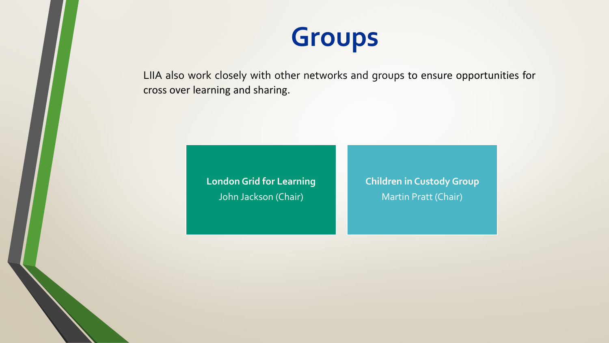

LIIA also work closely with other networks and groups to ensure opportunities for cross over learning and sharing.

> **London Grid for Learning** John Jackson (Chair)

**Children in Custody Group** Martin Pratt (Chair)